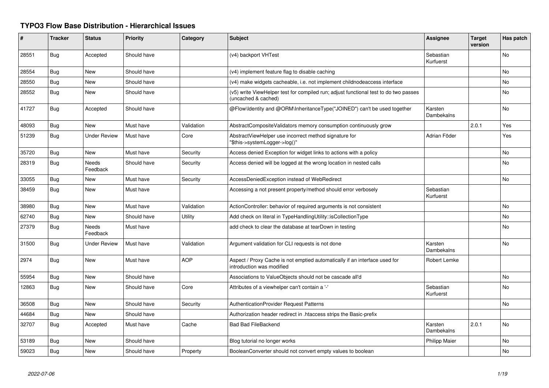## **TYPO3 Flow Base Distribution - Hierarchical Issues**

| #     | <b>Tracker</b> | <b>Status</b>            | <b>Priority</b> | Category   | <b>Subject</b>                                                                                              | <b>Assignee</b>        | Target<br>version | Has patch |
|-------|----------------|--------------------------|-----------------|------------|-------------------------------------------------------------------------------------------------------------|------------------------|-------------------|-----------|
| 28551 | Bug            | Accepted                 | Should have     |            | (v4) backport VHTest                                                                                        | Sebastian<br>Kurfuerst |                   | <b>No</b> |
| 28554 | Bug            | New                      | Should have     |            | (v4) implement feature flag to disable caching                                                              |                        |                   | <b>No</b> |
| 28550 | Bug            | <b>New</b>               | Should have     |            | (v4) make widgets cacheable, i.e. not implement childnodeaccess interface                                   |                        |                   | <b>No</b> |
| 28552 | Bug            | <b>New</b>               | Should have     |            | (v5) write ViewHelper test for compiled run; adjust functional test to do two passes<br>(uncached & cached) |                        |                   | No        |
| 41727 | Bug            | Accepted                 | Should have     |            | @Flow\Identity and @ORM\InheritanceType("JOINED") can't be used together                                    | Karsten<br>Dambekalns  |                   | <b>No</b> |
| 48093 | Bug            | <b>New</b>               | Must have       | Validation | AbstractCompositeValidators memory consumption continuously grow                                            |                        | 2.0.1             | Yes       |
| 51239 | Bug            | <b>Under Review</b>      | Must have       | Core       | AbstractViewHelper use incorrect method signature for<br>"\$this->systemLogger->log()"                      | Adrian Föder           |                   | Yes       |
| 35720 | Bug            | <b>New</b>               | Must have       | Security   | Access denied Exception for widget links to actions with a policy                                           |                        |                   | <b>No</b> |
| 28319 | Bug            | Needs<br>Feedback        | Should have     | Security   | Access denied will be logged at the wrong location in nested calls                                          |                        |                   | No        |
| 33055 | Bug            | <b>New</b>               | Must have       | Security   | AccessDeniedException instead of WebRedirect                                                                |                        |                   | <b>No</b> |
| 38459 | Bug            | New                      | Must have       |            | Accessing a not present property/method should error verbosely                                              | Sebastian<br>Kurfuerst |                   |           |
| 38980 | Bug            | <b>New</b>               | Must have       | Validation | ActionController: behavior of required arguments is not consistent                                          |                        |                   | <b>No</b> |
| 62740 | Bug            | <b>New</b>               | Should have     | Utility    | Add check on literal in TypeHandlingUtility::isCollectionType                                               |                        |                   | <b>No</b> |
| 27379 | Bug            | <b>Needs</b><br>Feedback | Must have       |            | add check to clear the database at tearDown in testing                                                      |                        |                   | <b>No</b> |
| 31500 | Bug            | <b>Under Review</b>      | Must have       | Validation | Argument validation for CLI requests is not done                                                            | Karsten<br>Dambekalns  |                   | <b>No</b> |
| 2974  | Bug            | <b>New</b>               | Must have       | <b>AOP</b> | Aspect / Proxy Cache is not emptied automatically if an interface used for<br>introduction was modified     | Robert Lemke           |                   |           |
| 55954 | <b>Bug</b>     | <b>New</b>               | Should have     |            | Associations to ValueObjects should not be cascade all'd                                                    |                        |                   | <b>No</b> |
| 12863 | Bug            | New                      | Should have     | Core       | Attributes of a viewhelper can't contain a '-'                                                              | Sebastian<br>Kurfuerst |                   | <b>No</b> |
| 36508 | <b>Bug</b>     | <b>New</b>               | Should have     | Security   | AuthenticationProvider Request Patterns                                                                     |                        |                   | <b>No</b> |
| 44684 | Bug            | New                      | Should have     |            | Authorization header redirect in .htaccess strips the Basic-prefix                                          |                        |                   |           |
| 32707 | Bug            | Accepted                 | Must have       | Cache      | <b>Bad Bad FileBackend</b>                                                                                  | Karsten<br>Dambekalns  | 2.0.1             | <b>No</b> |
| 53189 | Bug            | <b>New</b>               | Should have     |            | Blog tutorial no longer works                                                                               | Philipp Maier          |                   | No        |
| 59023 | <b>Bug</b>     | <b>New</b>               | Should have     | Property   | BooleanConverter should not convert empty values to boolean                                                 |                        |                   | No        |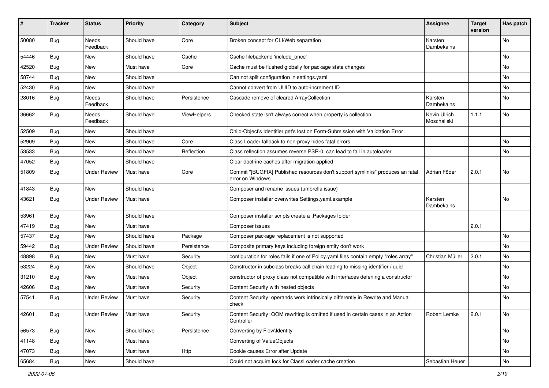| ∦     | <b>Tracker</b> | <b>Status</b>       | <b>Priority</b> | Category    | <b>Subject</b>                                                                                     | <b>Assignee</b>             | <b>Target</b><br>version | Has patch |
|-------|----------------|---------------------|-----------------|-------------|----------------------------------------------------------------------------------------------------|-----------------------------|--------------------------|-----------|
| 50080 | Bug            | Needs<br>Feedback   | Should have     | Core        | Broken concept for CLI/Web separation                                                              | Karsten<br>Dambekalns       |                          | No        |
| 54446 | Bug            | New                 | Should have     | Cache       | Cache filebackend 'include once'                                                                   |                             |                          | No        |
| 42520 | Bug            | <b>New</b>          | Must have       | Core        | Cache must be flushed globally for package state changes                                           |                             |                          | No        |
| 58744 | Bug            | New                 | Should have     |             | Can not split configuration in settings.yaml                                                       |                             |                          | No        |
| 52430 | Bug            | New                 | Should have     |             | Cannot convert from UUID to auto-increment ID                                                      |                             |                          | No.       |
| 28016 | Bug            | Needs<br>Feedback   | Should have     | Persistence | Cascade remove of cleared ArrayCollection                                                          | Karsten<br>Dambekalns       |                          | No        |
| 36662 | Bug            | Needs<br>Feedback   | Should have     | ViewHelpers | Checked state isn't always correct when property is collection                                     | Kevin Ulrich<br>Moschallski | 1.1.1                    | No.       |
| 52509 | Bug            | New                 | Should have     |             | Child-Object's Identifier get's lost on Form-Submission with Validation Error                      |                             |                          |           |
| 52909 | Bug            | <b>New</b>          | Should have     | Core        | Class Loader fallback to non-proxy hides fatal errors                                              |                             |                          | No        |
| 53533 | Bug            | New                 | Should have     | Reflection  | Class reflection assumes reverse PSR-0, can lead to fail in autoloader                             |                             |                          | No        |
| 47052 | Bug            | New                 | Should have     |             | Clear doctrine caches after migration applied                                                      |                             |                          |           |
| 51809 | Bug            | <b>Under Review</b> | Must have       | Core        | Commit "[BUGFIX] Published resources don't support symlinks" produces an fatal<br>error on Windows | Adrian Föder                | 2.0.1                    | No        |
| 41843 | Bug            | New                 | Should have     |             | Composer and rename issues (umbrella issue)                                                        |                             |                          |           |
| 43621 | Bug            | <b>Under Review</b> | Must have       |             | Composer installer overwrites Settings.yaml.example                                                | Karsten<br>Dambekalns       |                          | No        |
| 53961 | Bug            | <b>New</b>          | Should have     |             | Composer installer scripts create a .Packages folder                                               |                             |                          |           |
| 47419 | Bug            | New                 | Must have       |             | Composer issues                                                                                    |                             | 2.0.1                    |           |
| 57437 | Bug            | New                 | Should have     | Package     | Composer package replacement is not supported                                                      |                             |                          | No        |
| 59442 | Bug            | <b>Under Review</b> | Should have     | Persistence | Composite primary keys including foreign entity don't work                                         |                             |                          | No        |
| 48898 | Bug            | New                 | Must have       | Security    | configuration for roles fails if one of Policy yaml files contain empty "roles array"              | Christian Müller            | 2.0.1                    | No        |
| 53224 | Bug            | New                 | Should have     | Object      | Constructor in subclass breaks call chain leading to missing identifier / uuid                     |                             |                          | No        |
| 31210 | Bug            | New                 | Must have       | Object      | constructor of proxy class not compatible with interfaces defening a constructor                   |                             |                          | No        |
| 42606 | Bug            | New                 | Must have       | Security    | Content Security with nested objects                                                               |                             |                          | No        |
| 57541 | Bug            | <b>Under Review</b> | Must have       | Security    | Content Security: operands work intrinsically differently in Rewrite and Manual<br>check           |                             |                          | No        |
| 42601 | <b>Bug</b>     | <b>Under Review</b> | Must have       | Security    | Content Security: QOM rewriting is omitted if used in certain cases in an Action<br>Controller     | Robert Lemke                | 2.0.1                    | No        |
| 56573 | Bug            | New                 | Should have     | Persistence | Converting by Flow\Identity                                                                        |                             |                          | No        |
| 41148 | <b>Bug</b>     | New                 | Must have       |             | Converting of ValueObjects                                                                         |                             |                          | No        |
| 47073 | <b>Bug</b>     | New                 | Must have       | Http        | Cookie causes Error after Update                                                                   |                             |                          | No        |
| 65684 | Bug            | New                 | Should have     |             | Could not acquire lock for ClassLoader cache creation                                              | Sebastian Heuer             |                          | No        |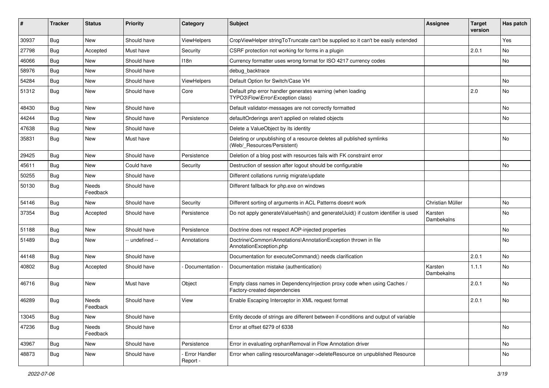| #     | <b>Tracker</b> | <b>Status</b>     | <b>Priority</b> | Category                  | <b>Subject</b>                                                                                          | Assignee              | <b>Target</b><br>version | Has patch |
|-------|----------------|-------------------|-----------------|---------------------------|---------------------------------------------------------------------------------------------------------|-----------------------|--------------------------|-----------|
| 30937 | <b>Bug</b>     | <b>New</b>        | Should have     | ViewHelpers               | CropViewHelper stringToTruncate can't be supplied so it can't be easily extended                        |                       |                          | Yes       |
| 27798 | Bug            | Accepted          | Must have       | Security                  | CSRF protection not working for forms in a plugin                                                       |                       | 2.0.1                    | No        |
| 46066 | Bug            | <b>New</b>        | Should have     | 118n                      | Currency formatter uses wrong format for ISO 4217 currency codes                                        |                       |                          | <b>No</b> |
| 58976 | Bug            | <b>New</b>        | Should have     |                           | debug_backtrace                                                                                         |                       |                          |           |
| 54284 | <b>Bug</b>     | New               | Should have     | ViewHelpers               | Default Option for Switch/Case VH                                                                       |                       |                          | <b>No</b> |
| 51312 | <b>Bug</b>     | <b>New</b>        | Should have     | Core                      | Default php error handler generates warning (when loading<br>TYPO3\Flow\Error\Exception class)          |                       | 2.0                      | <b>No</b> |
| 48430 | Bug            | <b>New</b>        | Should have     |                           | Default validator-messages are not correctly formatted                                                  |                       |                          | <b>No</b> |
| 44244 | Bug            | <b>New</b>        | Should have     | Persistence               | defaultOrderings aren't applied on related objects                                                      |                       |                          | No        |
| 47638 | <b>Bug</b>     | <b>New</b>        | Should have     |                           | Delete a ValueObject by its identity                                                                    |                       |                          |           |
| 35831 | <b>Bug</b>     | New               | Must have       |                           | Deleting or unpublishing of a resource deletes all published symlinks<br>(Web/_Resources/Persistent)    |                       |                          | <b>No</b> |
| 29425 | Bug            | <b>New</b>        | Should have     | Persistence               | Deletion of a blog post with resources fails with FK constraint error                                   |                       |                          |           |
| 45611 | Bug            | <b>New</b>        | Could have      | Security                  | Destruction of session after logout should be configurable                                              |                       |                          | <b>No</b> |
| 50255 | <b>Bug</b>     | New               | Should have     |                           | Different collations runnig migrate/update                                                              |                       |                          |           |
| 50130 | Bug            | Needs<br>Feedback | Should have     |                           | Different fallback for php.exe on windows                                                               |                       |                          |           |
| 54146 | <b>Bug</b>     | New               | Should have     | Security                  | Different sorting of arguments in ACL Patterns doesnt work                                              | Christian Müller      |                          | <b>No</b> |
| 37354 | Bug            | Accepted          | Should have     | Persistence               | Do not apply generate Value Hash() and generate Uuid() if custom identifier is used                     | Karsten<br>Dambekalns |                          | <b>No</b> |
| 51188 | <b>Bug</b>     | <b>New</b>        | Should have     | Persistence               | Doctrine does not respect AOP-injected properties                                                       |                       |                          | <b>No</b> |
| 51489 | <b>Bug</b>     | New               | -- undefined -- | Annotations               | Doctrine\Common\Annotations\AnnotationException thrown in file<br>AnnotationException.php               |                       |                          | <b>No</b> |
| 44148 | Bug            | <b>New</b>        | Should have     |                           | Documentation for executeCommand() needs clarification                                                  |                       | 2.0.1                    | <b>No</b> |
| 40802 | <b>Bug</b>     | Accepted          | Should have     | Documentation -           | Documentation mistake (authentication)                                                                  | Karsten<br>Dambekalns | 1.1.1                    | <b>No</b> |
| 46716 | <b>Bug</b>     | <b>New</b>        | Must have       | Object                    | Empty class names in Dependencylnjection proxy code when using Caches /<br>Factory-created dependencies |                       | 2.0.1                    | <b>No</b> |
| 46289 | <b>Bug</b>     | Needs<br>Feedback | Should have     | View                      | Enable Escaping Interceptor in XML request format                                                       |                       | 2.0.1                    | <b>No</b> |
| 13045 | Bug            | New               | Should have     |                           | Entity decode of strings are different between if-conditions and output of variable                     |                       |                          |           |
| 47236 | <b>Bug</b>     | Needs<br>Feedback | Should have     |                           | Error at offset 6279 of 6338                                                                            |                       |                          | No        |
| 43967 | Bug            | New               | Should have     | Persistence               | Error in evaluating orphanRemoval in Flow Annotation driver                                             |                       |                          | No        |
| 48873 | Bug            | New               | Should have     | Error Handler<br>Report - | Error when calling resourceManager->deleteResource on unpublished Resource                              |                       |                          | No        |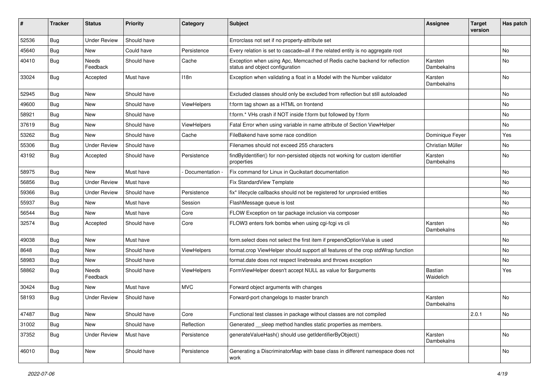| #     | <b>Tracker</b> | <b>Status</b>       | <b>Priority</b> | Category        | <b>Subject</b>                                                                                               | <b>Assignee</b>       | <b>Target</b><br>version | Has patch |
|-------|----------------|---------------------|-----------------|-----------------|--------------------------------------------------------------------------------------------------------------|-----------------------|--------------------------|-----------|
| 52536 | Bug            | <b>Under Review</b> | Should have     |                 | Errorclass not set if no property-attribute set                                                              |                       |                          |           |
| 45640 | Bug            | <b>New</b>          | Could have      | Persistence     | Every relation is set to cascade=all if the related entity is no aggregate root                              |                       |                          | <b>No</b> |
| 40410 | Bug            | Needs<br>Feedback   | Should have     | Cache           | Exception when using Apc, Memcached of Redis cache backend for reflection<br>status and object configuration | Karsten<br>Dambekalns |                          | <b>No</b> |
| 33024 | Bug            | Accepted            | Must have       | 118n            | Exception when validating a float in a Model with the Number validator                                       | Karsten<br>Dambekalns |                          | <b>No</b> |
| 52945 | Bug            | <b>New</b>          | Should have     |                 | Excluded classes should only be excluded from reflection but still autoloaded                                |                       |                          | <b>No</b> |
| 49600 | <b>Bug</b>     | New                 | Should have     | ViewHelpers     | f:form tag shown as a HTML on frontend                                                                       |                       |                          | No        |
| 58921 | <b>Bug</b>     | New                 | Should have     |                 | f:form.* VHs crash if NOT inside f:form but followed by f:form                                               |                       |                          | <b>No</b> |
| 37619 | Bug            | New                 | Should have     | ViewHelpers     | Fatal Error when using variable in name attribute of Section ViewHelper                                      |                       |                          | <b>No</b> |
| 53262 | <b>Bug</b>     | New                 | Should have     | Cache           | FileBakend have some race condition                                                                          | Dominique Feyer       |                          | Yes       |
| 55306 | <b>Bug</b>     | <b>Under Review</b> | Should have     |                 | Filenames should not exceed 255 characters                                                                   | Christian Müller      |                          | <b>No</b> |
| 43192 | Bug            | Accepted            | Should have     | Persistence     | findByIdentifier() for non-persisted objects not working for custom identifier<br>properties                 | Karsten<br>Dambekalns |                          | <b>No</b> |
| 58975 | Bug            | New                 | Must have       | Documentation - | Fix command for Linux in Qucikstart documentation                                                            |                       |                          | No        |
| 56856 | <b>Bug</b>     | <b>Under Review</b> | Must have       |                 | <b>Fix StandardView Template</b>                                                                             |                       |                          | <b>No</b> |
| 59366 | Bug            | <b>Under Review</b> | Should have     | Persistence     | fix* lifecycle callbacks should not be registered for unproxied entities                                     |                       |                          | <b>No</b> |
| 55937 | Bug            | <b>New</b>          | Must have       | Session         | FlashMessage queue is lost                                                                                   |                       |                          | <b>No</b> |
| 56544 | <b>Bug</b>     | New                 | Must have       | Core            | FLOW Exception on tar package inclusion via composer                                                         |                       |                          | No        |
| 32574 | <b>Bug</b>     | Accepted            | Should have     | Core            | FLOW3 enters fork bombs when using cgi-fcgi vs cli                                                           | Karsten<br>Dambekalns |                          | <b>No</b> |
| 49038 | <b>Bug</b>     | <b>New</b>          | Must have       |                 | form.select does not select the first item if prependOptionValue is used                                     |                       |                          | <b>No</b> |
| 8648  | <b>Bug</b>     | New                 | Should have     | ViewHelpers     | format.crop ViewHelper should support all features of the crop stdWrap function                              |                       |                          | No        |
| 58983 | Bug            | New                 | Should have     |                 | format.date does not respect linebreaks and throws exception                                                 |                       |                          | <b>No</b> |
| 58862 | <b>Bug</b>     | Needs<br>Feedback   | Should have     | ViewHelpers     | FormViewHelper doesn't accept NULL as value for \$arguments                                                  | Bastian<br>Waidelich  |                          | Yes       |
| 30424 | <b>Bug</b>     | New                 | Must have       | <b>MVC</b>      | Forward object arguments with changes                                                                        |                       |                          |           |
| 58193 | <b>Bug</b>     | <b>Under Review</b> | Should have     |                 | Forward-port changelogs to master branch                                                                     | Karsten<br>Dambekalns |                          | <b>No</b> |
| 47487 | <b>Bug</b>     | New                 | Should have     | Core            | Functional test classes in package without classes are not compiled                                          |                       | 2.0.1                    | No        |
| 31002 | <b>Bug</b>     | New                 | Should have     | Reflection      | Generated __sleep method handles static properties as members.                                               |                       |                          |           |
| 37352 | <b>Bug</b>     | <b>Under Review</b> | Must have       | Persistence     | generateValueHash() should use getIdentifierByObject()                                                       | Karsten<br>Dambekalns |                          | No        |
| 46010 | <b>Bug</b>     | New                 | Should have     | Persistence     | Generating a DiscriminatorMap with base class in different namespace does not<br>work                        |                       |                          | No        |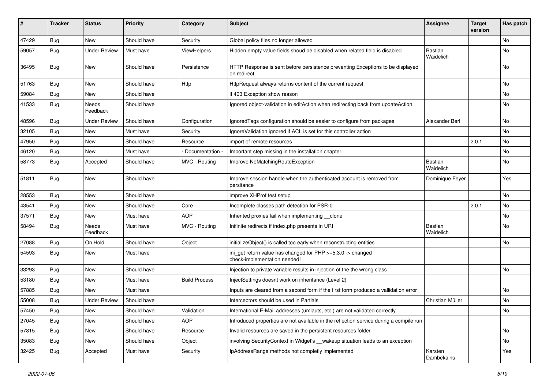| #     | <b>Tracker</b> | <b>Status</b>     | <b>Priority</b> | Category             | <b>Subject</b>                                                                                | <b>Assignee</b>             | <b>Target</b><br>version | Has patch     |
|-------|----------------|-------------------|-----------------|----------------------|-----------------------------------------------------------------------------------------------|-----------------------------|--------------------------|---------------|
| 47429 | Bug            | New               | Should have     | Security             | Global policy files no longer allowed                                                         |                             |                          | <b>No</b>     |
| 59057 | Bug            | Under Review      | Must have       | ViewHelpers          | Hidden empty value fields shoud be disabled when related field is disabled                    | Bastian<br>Waidelich        |                          | <b>No</b>     |
| 36495 | <b>Bug</b>     | <b>New</b>        | Should have     | Persistence          | HTTP Response is sent before persistence preventing Exceptions to be displayed<br>on redirect |                             |                          | <b>No</b>     |
| 51763 | <b>Bug</b>     | New               | Should have     | Http                 | HttpRequest always returns content of the current request                                     |                             |                          | <b>No</b>     |
| 59084 | <b>Bug</b>     | New               | Should have     |                      | if 403 Exception show reason                                                                  |                             |                          | No            |
| 41533 | Bug            | Needs<br>Feedback | Should have     |                      | Ignored object-validation in editAction when redirecting back from updateAction               |                             |                          | <b>No</b>     |
| 48596 | <b>Bug</b>     | Under Review      | Should have     | Configuration        | IgnoredTags configuration should be easier to configure from packages                         | Alexander Berl              |                          | <b>No</b>     |
| 32105 | <b>Bug</b>     | New               | Must have       | Security             | IgnoreValidation ignored if ACL is set for this controller action                             |                             |                          | No            |
| 47950 | Bug            | New               | Should have     | Resource             | import of remote resources                                                                    |                             | 2.0.1                    | <b>No</b>     |
| 46120 | <b>Bug</b>     | New               | Must have       | Documentation -      | Important step missing in the installation chapter                                            |                             |                          | No            |
| 58773 | Bug            | Accepted          | Should have     | MVC - Routing        | Improve NoMatchingRouteException                                                              | <b>Bastian</b><br>Waidelich |                          | <b>No</b>     |
| 51811 | Bug            | New               | Should have     |                      | Improve session handle when the authenticated account is removed from<br>persitance           | Dominique Feyer             |                          | Yes           |
| 28553 | Bug            | New               | Should have     |                      | improve XHProf test setup                                                                     |                             |                          | <b>No</b>     |
| 43541 | <b>Bug</b>     | New               | Should have     | Core                 | Incomplete classes path detection for PSR-0                                                   |                             | 2.0.1                    | No            |
| 37571 | <b>Bug</b>     | New               | Must have       | <b>AOP</b>           | Inherited proxies fail when implementing __clone                                              |                             |                          | No            |
| 58494 | <b>Bug</b>     | Needs<br>Feedback | Must have       | MVC - Routing        | Inifinite redirects if index.php presents in URI                                              | Bastian<br>Waidelich        |                          | <b>No</b>     |
| 27088 | Bug            | On Hold           | Should have     | Object               | initializeObject() is called too early when reconstructing entities                           |                             |                          | No            |
| 54593 | Bug            | New               | Must have       |                      | ini_get return value has changed for PHP >=5.3.0 -> changed<br>check-implementation needed!   |                             |                          |               |
| 33293 | Bug            | New               | Should have     |                      | Injection to private variable results in injection of the the wrong class                     |                             |                          | <b>No</b>     |
| 53180 | <b>Bug</b>     | New               | Must have       | <b>Build Process</b> | InjectSettings doesnt work on inheritance (Level 2)                                           |                             |                          |               |
| 57885 | Bug            | New               | Must have       |                      | Inputs are cleared from a second form if the first form produced a vallidation error          |                             |                          | <b>No</b>     |
| 55008 | Bug            | Under Review      | Should have     |                      | Interceptors should be used in Partials                                                       | Christian Müller            |                          | No            |
| 57450 | Bug            | New               | Should have     | Validation           | International E-Mail addresses (umlauts, etc.) are not validated correctly                    |                             |                          | $\mathsf{No}$ |
| 27045 | <b>Bug</b>     | New               | Should have     | <b>AOP</b>           | Introduced properties are not available in the reflection service during a compile run        |                             |                          |               |
| 57815 | <b>Bug</b>     | New               | Should have     | Resource             | Invalid resources are saved in the persistent resources folder                                |                             |                          | No            |
| 35083 | <b>Bug</b>     | New               | Should have     | Object               | involving SecurityContext in Widget's __wakeup situation leads to an exception                |                             |                          | No            |
| 32425 | <b>Bug</b>     | Accepted          | Must have       | Security             | IpAddressRange methods not completly implemented                                              | Karsten<br>Dambekalns       |                          | Yes           |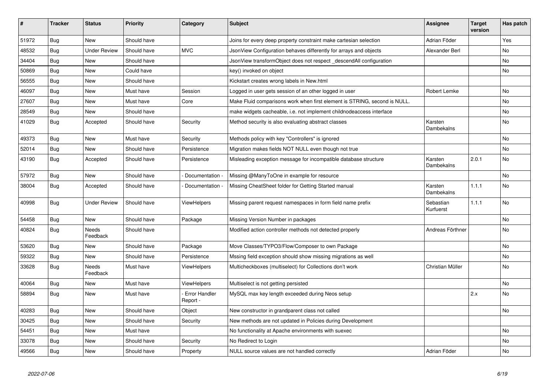| #     | <b>Tracker</b> | <b>Status</b>            | <b>Priority</b> | Category                  | Subject                                                                   | Assignee               | <b>Target</b><br>version | Has patch  |
|-------|----------------|--------------------------|-----------------|---------------------------|---------------------------------------------------------------------------|------------------------|--------------------------|------------|
| 51972 | <b>Bug</b>     | <b>New</b>               | Should have     |                           | Joins for every deep property constraint make cartesian selection         | Adrian Föder           |                          | <b>Yes</b> |
| 48532 | Bug            | <b>Under Review</b>      | Should have     | <b>MVC</b>                | JsonView Configuration behaves differently for arrays and objects         | Alexander Berl         |                          | No         |
| 34404 | <b>Bug</b>     | New                      | Should have     |                           | JsonView transformObject does not respect descendAll configuration        |                        |                          | No         |
| 50869 | <b>Bug</b>     | New                      | Could have      |                           | key() invoked on object                                                   |                        |                          | No         |
| 56555 | Bug            | New                      | Should have     |                           | Kickstart creates wrong labels in New.html                                |                        |                          |            |
| 46097 | <b>Bug</b>     | New                      | Must have       | Session                   | Logged in user gets session of an other logged in user                    | Robert Lemke           |                          | No         |
| 27607 | <b>Bug</b>     | New                      | Must have       | Core                      | Make Fluid comparisons work when first element is STRING, second is NULL. |                        |                          | No         |
| 28549 | <b>Bug</b>     | New                      | Should have     |                           | make widgets cacheable, i.e. not implement childnodeaccess interface      |                        |                          | <b>No</b>  |
| 41029 | <b>Bug</b>     | Accepted                 | Should have     | Security                  | Method security is also evaluating abstract classes                       | Karsten<br>Dambekalns  |                          | No         |
| 49373 | Bug            | New                      | Must have       | Security                  | Methods policy with key "Controllers" is ignored                          |                        |                          | <b>No</b>  |
| 52014 | Bug            | New                      | Should have     | Persistence               | Migration makes fields NOT NULL even though not true                      |                        |                          | No         |
| 43190 | <b>Bug</b>     | Accepted                 | Should have     | Persistence               | Misleading exception message for incompatible database structure          | Karsten<br>Dambekalns  | 2.0.1                    | No         |
| 57972 | Bug            | <b>New</b>               | Should have     | Documentation             | Missing @ManyToOne in example for resource                                |                        |                          | <b>No</b>  |
| 38004 | <b>Bug</b>     | Accepted                 | Should have     | Documentation -           | Missing CheatSheet folder for Getting Started manual                      | Karsten<br>Dambekalns  | 1.1.1                    | No         |
| 40998 | Bug            | <b>Under Review</b>      | Should have     | ViewHelpers               | Missing parent request namespaces in form field name prefix               | Sebastian<br>Kurfuerst | 1.1.1                    | <b>No</b>  |
| 54458 | <b>Bug</b>     | <b>New</b>               | Should have     | Package                   | Missing Version Number in packages                                        |                        |                          | <b>No</b>  |
| 40824 | <b>Bug</b>     | <b>Needs</b><br>Feedback | Should have     |                           | Modified action controller methods not detected properly                  | Andreas Förthner       |                          | <b>No</b>  |
| 53620 | <b>Bug</b>     | New                      | Should have     | Package                   | Move Classes/TYPO3/Flow/Composer to own Package                           |                        |                          | No         |
| 59322 | Bug            | New                      | Should have     | Persistence               | Mssing field exception should show missing migrations as well             |                        |                          | No         |
| 33628 | Bug            | Needs<br>Feedback        | Must have       | <b>ViewHelpers</b>        | Multicheckboxes (multiselect) for Collections don't work                  | Christian Müller       |                          | No         |
| 40064 | Bug            | New                      | Must have       | ViewHelpers               | Multiselect is not getting persisted                                      |                        |                          | No         |
| 58894 | <b>Bug</b>     | New                      | Must have       | Error Handler<br>Report - | MySQL max key length exceeded during Neos setup                           |                        | 2.x                      | No         |
| 40283 | Bug            | New                      | Should have     | Object                    | New constructor in grandparent class not called                           |                        |                          | No         |
| 30425 | Bug            | New                      | Should have     | Security                  | New methods are not updated in Policies during Development                |                        |                          |            |
| 54451 | Bug            | New                      | Must have       |                           | No functionality at Apache environments with suexec                       |                        |                          | <b>No</b>  |
| 33078 | <b>Bug</b>     | New                      | Should have     | Security                  | No Redirect to Login                                                      |                        |                          | No         |
| 49566 | <b>Bug</b>     | New                      | Should have     | Property                  | NULL source values are not handled correctly                              | Adrian Föder           |                          | No         |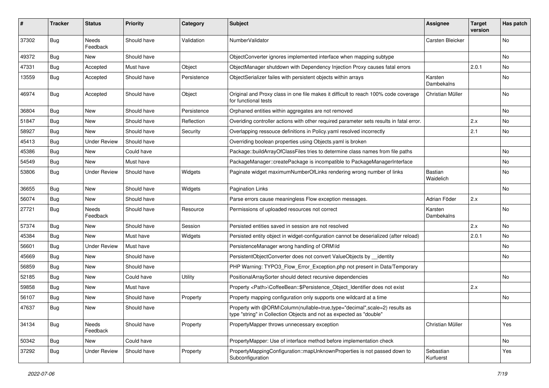| #     | <b>Tracker</b> | <b>Status</b>       | <b>Priority</b> | Category    | <b>Subject</b>                                                                                                                                    | <b>Assignee</b>             | <b>Target</b><br>version | Has patch |
|-------|----------------|---------------------|-----------------|-------------|---------------------------------------------------------------------------------------------------------------------------------------------------|-----------------------------|--------------------------|-----------|
| 37302 | Bug            | Needs<br>Feedback   | Should have     | Validation  | NumberValidator                                                                                                                                   | Carsten Bleicker            |                          | <b>No</b> |
| 49372 | Bug            | New                 | Should have     |             | ObjectConverter ignores implemented interface when mapping subtype                                                                                |                             |                          | No        |
| 47331 | Bug            | Accepted            | Must have       | Object      | ObjectManager shutdown with Dependency Injection Proxy causes fatal errors                                                                        |                             | 2.0.1                    | No        |
| 13559 | Bug            | Accepted            | Should have     | Persistence | ObjectSerializer failes with persistent objects within arrays                                                                                     | Karsten<br>Dambekalns       |                          | No        |
| 46974 | Bug            | Accepted            | Should have     | Object      | Original and Proxy class in one file makes it difficult to reach 100% code coverage<br>for functional tests                                       | Christian Müller            |                          | No        |
| 36804 | Bug            | New                 | Should have     | Persistence | Orphaned entities within aggregates are not removed                                                                                               |                             |                          | <b>No</b> |
| 51847 | Bug            | New                 | Should have     | Reflection  | Overiding controller actions with other required parameter sets results in fatal error.                                                           |                             | 2.x                      | No        |
| 58927 | Bug            | New                 | Should have     | Security    | Overlapping ressouce definitions in Policy yaml resolved incorrectly                                                                              |                             | 2.1                      | No        |
| 45413 | Bug            | <b>Under Review</b> | Should have     |             | Overriding boolean properties using Objects yaml is broken                                                                                        |                             |                          |           |
| 45386 | <b>Bug</b>     | New                 | Could have      |             | Package::buildArrayOfClassFiles tries to determine class names from file paths                                                                    |                             |                          | No        |
| 54549 | Bug            | New                 | Must have       |             | PackageManager::createPackage is incompatible to PackageManagerInterface                                                                          |                             |                          | <b>No</b> |
| 53806 | Bug            | <b>Under Review</b> | Should have     | Widgets     | Paginate widget maximumNumberOfLinks rendering wrong number of links                                                                              | <b>Bastian</b><br>Waidelich |                          | No        |
| 36655 | Bug            | New                 | Should have     | Widgets     | Pagination Links                                                                                                                                  |                             |                          | No        |
| 56074 | Bug            | New                 | Should have     |             | Parse errors cause meaningless Flow exception messages.                                                                                           | Adrian Föder                | 2.x                      |           |
| 27721 | Bug            | Needs<br>Feedback   | Should have     | Resource    | Permissions of uploaded resources not correct                                                                                                     | Karsten<br>Dambekalns       |                          | <b>No</b> |
| 57374 | Bug            | New                 | Should have     | Session     | Persisted entities saved in session are not resolved                                                                                              |                             | 2.x                      | No        |
| 45384 | Bug            | New                 | Must have       | Widgets     | Persisted entity object in widget-configuration cannot be deserialized (after reload)                                                             |                             | 2.0.1                    | <b>No</b> |
| 56601 | Bug            | <b>Under Review</b> | Must have       |             | PersistenceManager wrong handling of ORM\ld                                                                                                       |                             |                          | No        |
| 45669 | Bug            | New                 | Should have     |             | PersistentObjectConverter does not convert ValueObjects by __identity                                                                             |                             |                          | <b>No</b> |
| 56859 | Bug            | <b>New</b>          | Should have     |             | PHP Warning: TYPO3_Flow_Error_Exception.php not present in Data/Temporary                                                                         |                             |                          |           |
| 52185 | Bug            | New                 | Could have      | Utility     | PositionalArraySorter should detect recursive dependencies                                                                                        |                             |                          | No        |
| 59858 | Bug            | New                 | Must have       |             | Property <path>\CoffeeBean::\$Persistence Object Identifier does not exist</path>                                                                 |                             | 2.x                      |           |
| 56107 | Bug            | New                 | Should have     | Property    | Property mapping configuration only supports one wildcard at a time                                                                               |                             |                          | No        |
| 47637 | Bug            | New                 | Should have     |             | Property with @ORM\Column(nullable=true,type="decimal",scale=2) results as<br>type "string" in Collection Objects and not as expected as "double" |                             |                          |           |
| 34134 | <b>Bug</b>     | Needs<br>Feedback   | Should have     | Property    | PropertyMapper throws unnecessary exception                                                                                                       | Christian Müller            |                          | Yes       |
| 50342 | <b>Bug</b>     | New                 | Could have      |             | PropertyMapper: Use of interface method before implementation check                                                                               |                             |                          | No        |
| 37292 | <b>Bug</b>     | <b>Under Review</b> | Should have     | Property    | PropertyMappingConfiguration::mapUnknownProperties is not passed down to<br>Subconfiguration                                                      | Sebastian<br>Kurfuerst      |                          | Yes       |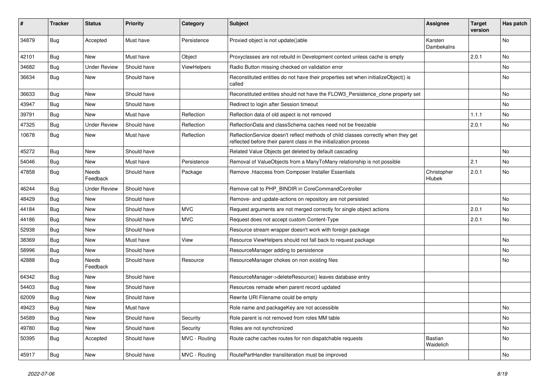| #     | <b>Tracker</b> | <b>Status</b>       | <b>Priority</b> | Category      | <b>Subject</b>                                                                                                                                          | <b>Assignee</b>       | <b>Target</b><br>version | Has patch |
|-------|----------------|---------------------|-----------------|---------------|---------------------------------------------------------------------------------------------------------------------------------------------------------|-----------------------|--------------------------|-----------|
| 34879 | Bug            | Accepted            | Must have       | Persistence   | Proxied object is not update()able                                                                                                                      | Karsten<br>Dambekalns |                          | <b>No</b> |
| 42101 | Bug            | New                 | Must have       | Object        | Proxyclasses are not rebuild in Development context unless cache is empty                                                                               |                       | 2.0.1                    | No        |
| 34682 | <b>Bug</b>     | <b>Under Review</b> | Should have     | ViewHelpers   | Radio Button missing checked on validation error                                                                                                        |                       |                          | <b>No</b> |
| 36634 | <b>Bug</b>     | New                 | Should have     |               | Reconstituted entities do not have their properties set when initializeObject() is<br>called                                                            |                       |                          | No        |
| 36633 | <b>Bug</b>     | New                 | Should have     |               | Reconstituted entities should not have the FLOW3 Persistence clone property set                                                                         |                       |                          | No        |
| 43947 | <b>Bug</b>     | New                 | Should have     |               | Redirect to login after Session timeout                                                                                                                 |                       |                          | No        |
| 39791 | <b>Bug</b>     | <b>New</b>          | Must have       | Reflection    | Reflection data of old aspect is not removed                                                                                                            |                       | 1.1.1                    | No        |
| 47325 | <b>Bug</b>     | <b>Under Review</b> | Should have     | Reflection    | ReflectionData and classSchema caches need not be freezable                                                                                             |                       | 2.0.1                    | No        |
| 10678 | <b>Bug</b>     | New                 | Must have       | Reflection    | ReflectionService doesn't reflect methods of child classes correctly when they get<br>reflected before their parent class in the initialization process |                       |                          |           |
| 45272 | <b>Bug</b>     | New                 | Should have     |               | Related Value Objects get deleted by default cascading                                                                                                  |                       |                          | No        |
| 54046 | <b>Bug</b>     | <b>New</b>          | Must have       | Persistence   | Removal of ValueObjects from a ManyToMany relationship is not possible                                                                                  |                       | 2.1                      | <b>No</b> |
| 47858 | <b>Bug</b>     | Needs<br>Feedback   | Should have     | Package       | Remove .htaccess from Composer Installer Essentials                                                                                                     | Christopher<br>Hlubek | 2.0.1                    | No        |
| 46244 | Bug            | <b>Under Review</b> | Should have     |               | Remove call to PHP_BINDIR in CoreCommandController                                                                                                      |                       |                          |           |
| 48429 | <b>Bug</b>     | New                 | Should have     |               | Remove- and update-actions on repository are not persisted                                                                                              |                       |                          | <b>No</b> |
| 44184 | <b>Bug</b>     | New                 | Should have     | <b>MVC</b>    | Request arguments are not merged correctly for single object actions                                                                                    |                       | 2.0.1                    | No        |
| 44186 | Bug            | <b>New</b>          | Should have     | <b>MVC</b>    | Request does not accept custom Content-Type                                                                                                             |                       | 2.0.1                    | No        |
| 52938 | <b>Bug</b>     | New                 | Should have     |               | Resource stream wrapper doesn't work with foreign package                                                                                               |                       |                          |           |
| 38369 | <b>Bug</b>     | New                 | Must have       | View          | Resource ViewHelpers should not fall back to request package                                                                                            |                       |                          | <b>No</b> |
| 58996 | Bug            | New                 | Should have     |               | ResourceManager adding to persistence                                                                                                                   |                       |                          | No        |
| 42888 | <b>Bug</b>     | Needs<br>Feedback   | Should have     | Resource      | ResourceManager chokes on non existing files                                                                                                            |                       |                          | No        |
| 64342 | <b>Bug</b>     | New                 | Should have     |               | ResourceManager->deleteResource() leaves database entry                                                                                                 |                       |                          |           |
| 54403 | <b>Bug</b>     | New                 | Should have     |               | Resources remade when parent record updated                                                                                                             |                       |                          |           |
| 62009 | <b>Bug</b>     | New                 | Should have     |               | Rewrite URI Filename could be empty                                                                                                                     |                       |                          |           |
| 49423 | Bug            | <b>New</b>          | Must have       |               | Role name and packageKey are not accessible                                                                                                             |                       |                          | No        |
| 54589 | Bug            | New                 | Should have     | Security      | Role parent is not removed from roles MM table                                                                                                          |                       |                          | No        |
| 49780 | Bug            | New                 | Should have     | Security      | Roles are not synchronized                                                                                                                              |                       |                          | No        |
| 50395 | Bug            | Accepted            | Should have     | MVC - Routing | Route cache caches routes for non dispatchable requests                                                                                                 | Bastian<br>Waidelich  |                          | No        |
| 45917 | <b>Bug</b>     | New                 | Should have     | MVC - Routing | RoutePartHandler transliteration must be improved                                                                                                       |                       |                          | No        |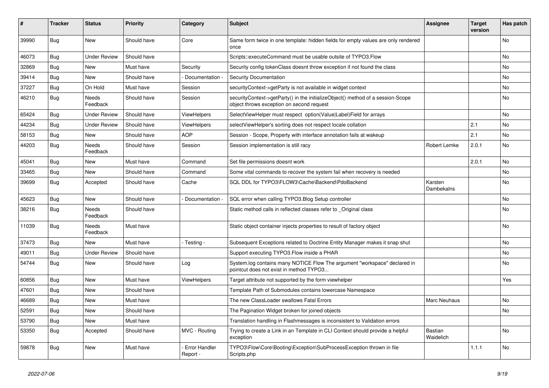| ∦     | <b>Tracker</b> | <b>Status</b>            | <b>Priority</b> | Category                         | <b>Subject</b>                                                                                                               | <b>Assignee</b>             | <b>Target</b><br>version | Has patch |
|-------|----------------|--------------------------|-----------------|----------------------------------|------------------------------------------------------------------------------------------------------------------------------|-----------------------------|--------------------------|-----------|
| 39990 | <b>Bug</b>     | <b>New</b>               | Should have     | Core                             | Same form twice in one template: hidden fields for empty values are only rendered<br>once                                    |                             |                          | <b>No</b> |
| 46073 | <b>Bug</b>     | <b>Under Review</b>      | Should have     |                                  | Scripts::executeCommand must be usable outsite of TYPO3.Flow                                                                 |                             |                          | <b>No</b> |
| 32869 | <b>Bug</b>     | <b>New</b>               | Must have       | Security                         | Security config tokenClass doesnt throw exception if not found the class                                                     |                             |                          | <b>No</b> |
| 39414 | Bug            | <b>New</b>               | Should have     | Documentation -                  | <b>Security Documentation</b>                                                                                                |                             |                          | <b>No</b> |
| 37227 | Bug            | On Hold                  | Must have       | Session                          | securityContext->getParty is not available in widget context                                                                 |                             |                          | <b>No</b> |
| 46210 | Bug            | Needs<br>Feedback        | Should have     | Session                          | securityContext->getParty() in the initializeObject() method of a session-Scope<br>object throws exception on second request |                             |                          | No        |
| 65424 | Bug            | <b>Under Review</b>      | Should have     | <b>ViewHelpers</b>               | SelectViewHelper must respect option(Value Label)Field for arrays                                                            |                             |                          | No        |
| 44234 | <b>Bug</b>     | <b>Under Review</b>      | Should have     | <b>ViewHelpers</b>               | selectViewHelper's sorting does not respect locale collation                                                                 |                             | 2.1                      | No        |
| 58153 | <b>Bug</b>     | <b>New</b>               | Should have     | <b>AOP</b>                       | Session - Scope, Property with interface annotation fails at wakeup                                                          |                             | 2.1                      | <b>No</b> |
| 44203 | Bug            | <b>Needs</b><br>Feedback | Should have     | Session                          | Session implementation is still racy                                                                                         | Robert Lemke                | 2.0.1                    | <b>No</b> |
| 45041 | Bug            | New                      | Must have       | Command                          | Set file permissions doesnt work                                                                                             |                             | 2.0.1                    | <b>No</b> |
| 33465 | <b>Bug</b>     | <b>New</b>               | Should have     | Command                          | Some vital commands to recover the system fail when recovery is needed                                                       |                             |                          | <b>No</b> |
| 39699 | <b>Bug</b>     | Accepted                 | Should have     | Cache                            | SQL DDL for TYPO3\FLOW3\Cache\Backend\PdoBackend                                                                             | Karsten<br>Dambekalns       |                          | <b>No</b> |
| 45623 | <b>Bug</b>     | New                      | Should have     | Documentation -                  | SQL error when calling TYPO3.Blog Setup controller                                                                           |                             |                          | No        |
| 38216 | Bug            | <b>Needs</b><br>Feedback | Should have     |                                  | Static method calls in reflected classes refer to _Original class                                                            |                             |                          | <b>No</b> |
| 11039 | Bug            | Needs<br>Feedback        | Must have       |                                  | Static object container injects properties to result of factory object                                                       |                             |                          | No        |
| 37473 | Bug            | <b>New</b>               | Must have       | - Testing -                      | Subsequent Exceptions related to Doctrine Entity Manager makes it snap shut                                                  |                             |                          | <b>No</b> |
| 49011 | <b>Bug</b>     | <b>Under Review</b>      | Should have     |                                  | Support executing TYPO3. Flow inside a PHAR                                                                                  |                             |                          | No        |
| 54744 | Bug            | <b>New</b>               | Should have     | Log                              | System.log contains many NOTICE Flow The argument "workspace" declared in<br>pointcut does not exist in method TYPO3         |                             |                          | <b>No</b> |
| 60856 | Bug            | New                      | Must have       | <b>ViewHelpers</b>               | Target attribute not supported by the form viewhelper                                                                        |                             |                          | Yes       |
| 47601 | Bug            | New                      | Should have     |                                  | Template Path of Submodules contains lowercase Namespace                                                                     |                             |                          |           |
| 46689 | Bug            | New                      | Must have       |                                  | The new ClassLoader swallows Fatal Errors                                                                                    | Marc Neuhaus                |                          | <b>No</b> |
| 52591 | <b>Bug</b>     | New                      | Should have     |                                  | The Pagination Widget broken for joined objects                                                                              |                             |                          | No        |
| 53790 | <b>Bug</b>     | New                      | Must have       |                                  | Translation handling in Flashmessages is inconsistent to Validation errors                                                   |                             |                          |           |
| 53350 | <b>Bug</b>     | Accepted                 | Should have     | MVC - Routing                    | Trying to create a Link in an Template in CLI Context should provide a helpful<br>exception                                  | <b>Bastian</b><br>Waidelich |                          | No        |
| 59878 | <b>Bug</b>     | New                      | Must have       | <b>Error Handler</b><br>Report - | TYPO3\Flow\Core\Booting\Exception\SubProcessException thrown in file<br>Scripts.php                                          |                             | 1.1.1                    | <b>No</b> |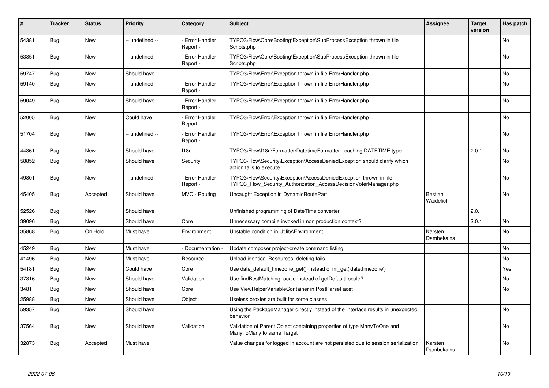| ∦     | <b>Tracker</b> | <b>Status</b> | <b>Priority</b> | Category                         | <b>Subject</b>                                                                                                                         | <b>Assignee</b>             | <b>Target</b><br>version | Has patch |
|-------|----------------|---------------|-----------------|----------------------------------|----------------------------------------------------------------------------------------------------------------------------------------|-----------------------------|--------------------------|-----------|
| 54381 | Bug            | New           | -- undefined -- | - Error Handler<br>Report -      | TYPO3\Flow\Core\Booting\Exception\SubProcessException thrown in file<br>Scripts.php                                                    |                             |                          | <b>No</b> |
| 53851 | <b>Bug</b>     | New           | -- undefined -- | - Error Handler<br>Report -      | TYPO3\Flow\Core\Booting\Exception\SubProcessException thrown in file<br>Scripts.php                                                    |                             |                          | <b>No</b> |
| 59747 | <b>Bug</b>     | <b>New</b>    | Should have     |                                  | TYPO3\Flow\Error\Exception thrown in file ErrorHandler.php                                                                             |                             |                          | <b>No</b> |
| 59140 | Bug            | New           | -- undefined -- | <b>Error Handler</b><br>Report - | TYPO3\Flow\Error\Exception thrown in file ErrorHandler.php                                                                             |                             |                          | <b>No</b> |
| 59049 | Bug            | New           | Should have     | <b>Error Handler</b><br>Report - | TYPO3\Flow\Error\Exception thrown in file ErrorHandler.php                                                                             |                             |                          | <b>No</b> |
| 52005 | Bug            | <b>New</b>    | Could have      | - Error Handler<br>Report -      | TYPO3\Flow\Error\Exception thrown in file ErrorHandler.php                                                                             |                             |                          | <b>No</b> |
| 51704 | Bug            | <b>New</b>    | -- undefined -- | - Error Handler<br>Report -      | TYPO3\Flow\Error\Exception thrown in file ErrorHandler.php                                                                             |                             |                          | <b>No</b> |
| 44361 | Bug            | New           | Should have     | 118n                             | TYPO3\Flow\I18n\Formatter\DatetimeFormatter - caching DATETIME type                                                                    |                             | 2.0.1                    | No        |
| 58852 | Bug            | <b>New</b>    | Should have     | Security                         | TYPO3\Flow\Security\Exception\AccessDeniedException should clarify which<br>action fails to execute                                    |                             |                          | <b>No</b> |
| 49801 | <b>Bug</b>     | <b>New</b>    | -- undefined -- | - Error Handler<br>Report -      | TYPO3\Flow\Security\Exception\AccessDeniedException thrown in file<br>TYPO3 Flow Security Authorization AccessDecisionVoterManager.php |                             |                          | <b>No</b> |
| 45405 | <b>Bug</b>     | Accepted      | Should have     | MVC - Routing                    | Uncaught Exception in DynamicRoutePart                                                                                                 | <b>Bastian</b><br>Waidelich |                          | <b>No</b> |
| 52526 | <b>Bug</b>     | <b>New</b>    | Should have     |                                  | Unfinished programming of DateTime converter                                                                                           |                             | 2.0.1                    |           |
| 39096 | Bug            | <b>New</b>    | Should have     | Core                             | Unnecessary compile invoked in non production context?                                                                                 |                             | 2.0.1                    | <b>No</b> |
| 35868 | <b>Bug</b>     | On Hold       | Must have       | Environment                      | Unstable condition in Utility\Environment                                                                                              | Karsten<br>Dambekalns       |                          | <b>No</b> |
| 45249 | Bug            | New           | Must have       | Documentation -                  | Update composer project-create command listing                                                                                         |                             |                          | <b>No</b> |
| 41496 | <b>Bug</b>     | New           | Must have       | Resource                         | Upload identical Resources, deleting fails                                                                                             |                             |                          | <b>No</b> |
| 54181 | Bug            | New           | Could have      | Core                             | Use date default timezone get() instead of ini get('date.timezone')                                                                    |                             |                          | Yes       |
| 37316 | <b>Bug</b>     | New           | Should have     | Validation                       | Use findBestMatchingLocale instead of getDefaultLocale?                                                                                |                             |                          | <b>No</b> |
| 3481  | Bug            | New           | Should have     | Core                             | Use ViewHelperVariableContainer in PostParseFacet                                                                                      |                             |                          | No        |
| 25988 | <b>Bug</b>     | New           | Should have     | Object                           | Useless proxies are built for some classes                                                                                             |                             |                          |           |
| 59357 | Bug            | New           | Should have     |                                  | Using the PackageManager directly instead of the Interface results in unexpected<br>behavior                                           |                             |                          | <b>No</b> |
| 37564 | <b>Bug</b>     | New           | Should have     | Validation                       | Validation of Parent Object containing properties of type ManyToOne and<br>ManyToMany to same Target                                   |                             |                          | <b>No</b> |
| 32873 | Bug            | Accepted      | Must have       |                                  | Value changes for logged in account are not persisted due to session serialization                                                     | Karsten<br>Dambekalns       |                          | <b>No</b> |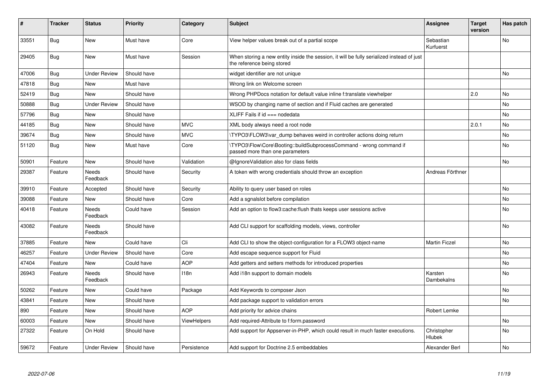| ∦     | <b>Tracker</b> | <b>Status</b>            | <b>Priority</b> | Category           | <b>Subject</b>                                                                                                          | Assignee                     | <b>Target</b><br>version | Has patch |
|-------|----------------|--------------------------|-----------------|--------------------|-------------------------------------------------------------------------------------------------------------------------|------------------------------|--------------------------|-----------|
| 33551 | <b>Bug</b>     | New                      | Must have       | Core               | View helper values break out of a partial scope                                                                         | Sebastian<br>Kurfuerst       |                          | No        |
| 29405 | <b>Bug</b>     | New                      | Must have       | Session            | When storing a new entity inside the session, it will be fully serialized instead of just<br>the reference being stored |                              |                          |           |
| 47006 | <b>Bug</b>     | <b>Under Review</b>      | Should have     |                    | widget identifier are not unique                                                                                        |                              |                          | <b>No</b> |
| 47818 | Bug            | New                      | Must have       |                    | Wrong link on Welcome screen                                                                                            |                              |                          |           |
| 52419 | Bug            | New                      | Should have     |                    | Wrong PHPDocs notation for default value inline f:translate viewhelper                                                  |                              | 2.0                      | No        |
| 50888 | <b>Bug</b>     | <b>Under Review</b>      | Should have     |                    | WSOD by changing name of section and if Fluid caches are generated                                                      |                              |                          | No        |
| 57796 | <b>Bug</b>     | <b>New</b>               | Should have     |                    | XLIFF Fails if $id ==$ nodedata                                                                                         |                              |                          | No        |
| 44185 | Bug            | <b>New</b>               | Should have     | <b>MVC</b>         | XML body always need a root node                                                                                        |                              | 2.0.1                    | <b>No</b> |
| 39674 | Bug            | New                      | Should have     | <b>MVC</b>         | \TYPO3\FLOW3\var_dump behaves weird in controller actions doing return                                                  |                              |                          | No        |
| 51120 | <b>Bug</b>     | New                      | Must have       | Core               | \TYPO3\Flow\Core\Booting::buildSubprocessCommand - wrong command if<br>passed more than one parameters                  |                              |                          | <b>No</b> |
| 50901 | Feature        | <b>New</b>               | Should have     | Validation         | @IgnoreValidation also for class fields                                                                                 |                              |                          | No        |
| 29387 | Feature        | <b>Needs</b><br>Feedback | Should have     | Security           | A token with wrong credentials should throw an exception                                                                | Andreas Förthner             |                          |           |
| 39910 | Feature        | Accepted                 | Should have     | Security           | Ability to query user based on roles                                                                                    |                              |                          | No        |
| 39088 | Feature        | <b>New</b>               | Should have     | Core               | Add a sgnalslot before compilation                                                                                      |                              |                          | No        |
| 40418 | Feature        | <b>Needs</b><br>Feedback | Could have      | Session            | Add an option to flow3:cache: flush thats keeps user sessions active                                                    |                              |                          | No        |
| 43082 | Feature        | Needs<br>Feedback        | Should have     |                    | Add CLI support for scaffolding models, views, controller                                                               |                              |                          | No        |
| 37885 | Feature        | <b>New</b>               | Could have      | Cli                | Add CLI to show the object-configuration for a FLOW3 object-name                                                        | <b>Martin Ficzel</b>         |                          | No        |
| 46257 | Feature        | <b>Under Review</b>      | Should have     | Core               | Add escape sequence support for Fluid                                                                                   |                              |                          | No        |
| 47404 | Feature        | New                      | Could have      | <b>AOP</b>         | Add getters and setters methods for introduced properties                                                               |                              |                          | No        |
| 26943 | Feature        | Needs<br>Feedback        | Should have     | 118 <sub>n</sub>   | Add i18n support to domain models                                                                                       | Karsten<br>Dambekalns        |                          | No        |
| 50262 | Feature        | New                      | Could have      | Package            | Add Keywords to composer Json                                                                                           |                              |                          | No        |
| 43841 | Feature        | New                      | Should have     |                    | Add package support to validation errors                                                                                |                              |                          | No        |
| 890   | Feature        | New                      | Should have     | <b>AOP</b>         | Add priority for advice chains                                                                                          | Robert Lemke                 |                          |           |
| 60003 | Feature        | New                      | Should have     | <b>ViewHelpers</b> | Add required-Attribute to f:form.password                                                                               |                              |                          | No        |
| 27322 | Feature        | On Hold                  | Should have     |                    | Add support for Appserver-in-PHP, which could result in much faster executions.                                         | Christopher<br><b>Hlubek</b> |                          | No        |
| 59672 | Feature        | <b>Under Review</b>      | Should have     | Persistence        | Add support for Doctrine 2.5 embeddables                                                                                | Alexander Berl               |                          | No        |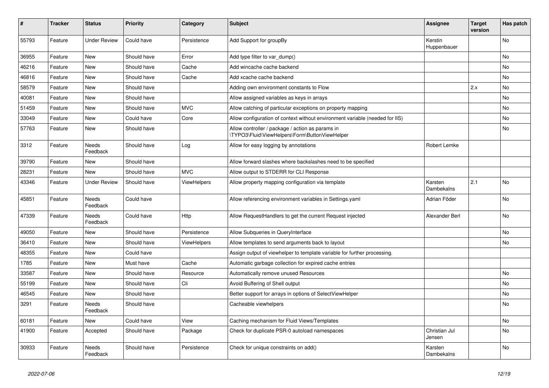| #     | <b>Tracker</b> | <b>Status</b>            | <b>Priority</b> | Category    | <b>Subject</b>                                                                                     | <b>Assignee</b>         | <b>Target</b><br>version | Has patch |
|-------|----------------|--------------------------|-----------------|-------------|----------------------------------------------------------------------------------------------------|-------------------------|--------------------------|-----------|
| 55793 | Feature        | <b>Under Review</b>      | Could have      | Persistence | Add Support for groupBy                                                                            | Kerstin<br>Huppenbauer  |                          | <b>No</b> |
| 36955 | Feature        | New                      | Should have     | Error       | Add type filter to var_dump()                                                                      |                         |                          | No        |
| 46216 | Feature        | <b>New</b>               | Should have     | Cache       | Add wincache cache backend                                                                         |                         |                          | No        |
| 46816 | Feature        | New                      | Should have     | Cache       | Add xcache cache backend                                                                           |                         |                          | No        |
| 58579 | Feature        | <b>New</b>               | Should have     |             | Adding own environment constants to Flow                                                           |                         | 2.x                      | <b>No</b> |
| 40081 | Feature        | New                      | Should have     |             | Allow assigned variables as keys in arrays                                                         |                         |                          | No        |
| 51459 | Feature        | New                      | Should have     | <b>MVC</b>  | Allow catching of particular exceptions on property mapping                                        |                         |                          | No        |
| 33049 | Feature        | New                      | Could have      | Core        | Allow configuration of context without environment variable (needed for IIS)                       |                         |                          | No        |
| 57763 | Feature        | New                      | Should have     |             | Allow controller / package / action as params in<br>\TYPO3\Fluid\ViewHelpers\Form\ButtonViewHelper |                         |                          | No        |
| 3312  | Feature        | <b>Needs</b><br>Feedback | Should have     | Log         | Allow for easy logging by annotations                                                              | Robert Lemke            |                          |           |
| 39790 | Feature        | <b>New</b>               | Should have     |             | Allow forward slashes where backslashes need to be specified                                       |                         |                          |           |
| 28231 | Feature        | New                      | Should have     | <b>MVC</b>  | Allow output to STDERR for CLI Response                                                            |                         |                          |           |
| 43346 | Feature        | <b>Under Review</b>      | Should have     | ViewHelpers | Allow property mapping configuration via template                                                  | Karsten<br>Dambekalns   | 2.1                      | <b>No</b> |
| 45851 | Feature        | Needs<br>Feedback        | Could have      |             | Allow referencing environment variables in Settings.yaml                                           | Adrian Föder            |                          | <b>No</b> |
| 47339 | Feature        | Needs<br>Feedback        | Could have      | Http        | Allow RequestHandlers to get the current Request injected                                          | Alexander Berl          |                          | <b>No</b> |
| 49050 | Feature        | New                      | Should have     | Persistence | Allow Subqueries in QueryInterface                                                                 |                         |                          | <b>No</b> |
| 36410 | Feature        | New                      | Should have     | ViewHelpers | Allow templates to send arguments back to layout                                                   |                         |                          | No        |
| 48355 | Feature        | New                      | Could have      |             | Assign output of viewhelper to template variable for further processing.                           |                         |                          |           |
| 1785  | Feature        | New                      | Must have       | Cache       | Automatic garbage collection for expired cache entries                                             |                         |                          |           |
| 33587 | Feature        | New                      | Should have     | Resource    | Automatically remove unused Resources                                                              |                         |                          | <b>No</b> |
| 55199 | Feature        | New                      | Should have     | Cli         | Avoid Buffering of Shell output                                                                    |                         |                          | No        |
| 46545 | Feature        | New                      | Should have     |             | Better support for arrays in options of SelectViewHelper                                           |                         |                          | No        |
| 3291  | Feature        | Needs<br>Feedback        | Should have     |             | Cacheable viewhelpers                                                                              |                         |                          | <b>No</b> |
| 60181 | Feature        | New                      | Could have      | View        | Caching mechanism for Fluid Views/Templates                                                        |                         |                          | No        |
| 41900 | Feature        | Accepted                 | Should have     | Package     | Check for duplicate PSR-0 autoload namespaces                                                      | Christian Jul<br>Jensen |                          | No        |
| 30933 | Feature        | Needs<br>Feedback        | Should have     | Persistence | Check for unique constraints on add()                                                              | Karsten<br>Dambekalns   |                          | No        |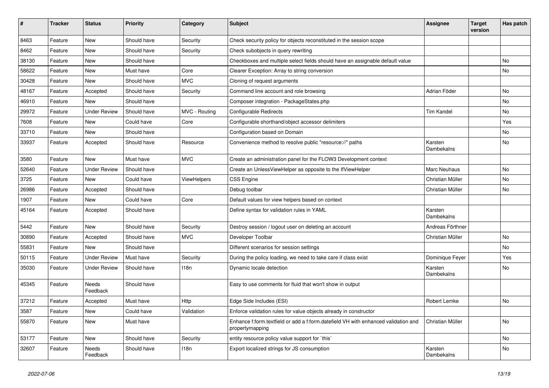| #     | <b>Tracker</b> | <b>Status</b>       | <b>Priority</b> | Category      | <b>Subject</b>                                                                                        | <b>Assignee</b>       | <b>Target</b><br>version | Has patch |
|-------|----------------|---------------------|-----------------|---------------|-------------------------------------------------------------------------------------------------------|-----------------------|--------------------------|-----------|
| 8463  | Feature        | New                 | Should have     | Security      | Check security policy for objects reconstituted in the session scope                                  |                       |                          |           |
| 8462  | Feature        | New                 | Should have     | Security      | Check subobjects in query rewriting                                                                   |                       |                          |           |
| 38130 | Feature        | New                 | Should have     |               | Checkboxes and multiple select fields should have an assignable default value                         |                       |                          | No        |
| 58622 | Feature        | New                 | Must have       | Core          | Clearer Exception: Array to string conversion                                                         |                       |                          | No        |
| 30428 | Feature        | New                 | Should have     | <b>MVC</b>    | Cloning of request arguments                                                                          |                       |                          |           |
| 48167 | Feature        | Accepted            | Should have     | Security      | Command line account and role browsing                                                                | Adrian Föder          |                          | <b>No</b> |
| 46910 | Feature        | New                 | Should have     |               | Composer integration - PackageStates.php                                                              |                       |                          | No        |
| 29972 | Feature        | <b>Under Review</b> | Should have     | MVC - Routing | Configurable Redirects                                                                                | <b>Tim Kandel</b>     |                          | No        |
| 7608  | Feature        | New                 | Could have      | Core          | Configurable shorthand/object accessor delimiters                                                     |                       |                          | Yes       |
| 33710 | Feature        | New                 | Should have     |               | Configuration based on Domain                                                                         |                       |                          | No        |
| 33937 | Feature        | Accepted            | Should have     | Resource      | Convenience method to resolve public "resource://" paths                                              | Karsten<br>Dambekalns |                          | No        |
| 3580  | Feature        | New                 | Must have       | <b>MVC</b>    | Create an administration panel for the FLOW3 Development context                                      |                       |                          |           |
| 52640 | Feature        | <b>Under Review</b> | Should have     |               | Create an UnlessViewHelper as opposite to the IfViewHelper                                            | Marc Neuhaus          |                          | <b>No</b> |
| 3725  | Feature        | New                 | Could have      | ViewHelpers   | <b>CSS Engine</b>                                                                                     | Christian Müller      |                          | No        |
| 26986 | Feature        | Accepted            | Should have     |               | Debug toolbar                                                                                         | Christian Müller      |                          | No        |
| 1907  | Feature        | New                 | Could have      | Core          | Default values for view helpers based on context                                                      |                       |                          |           |
| 45164 | Feature        | Accepted            | Should have     |               | Define syntax for validation rules in YAML                                                            | Karsten<br>Dambekalns |                          |           |
| 5442  | Feature        | New                 | Should have     | Security      | Destroy session / logout user on deleting an account                                                  | Andreas Förthner      |                          |           |
| 30890 | Feature        | Accepted            | Should have     | <b>MVC</b>    | Developer Toolbar                                                                                     | Christian Müller      |                          | No        |
| 55831 | Feature        | New                 | Should have     |               | Different scenarios for session settings                                                              |                       |                          | No        |
| 50115 | Feature        | <b>Under Review</b> | Must have       | Security      | During the policy loading, we need to take care if class exist                                        | Dominique Feyer       |                          | Yes       |
| 35030 | Feature        | Under Review        | Should have     | 118n          | Dynamic locale detection                                                                              | Karsten<br>Dambekalns |                          | No        |
| 45345 | Feature        | Needs<br>Feedback   | Should have     |               | Easy to use comments for fluid that won't show in output                                              |                       |                          |           |
| 37212 | Feature        | Accepted            | Must have       | Http          | Edge Side Includes (ESI)                                                                              | Robert Lemke          |                          | No        |
| 3587  | Feature        | New                 | Could have      | Validation    | Enforce validation rules for value objects already in constructor                                     |                       |                          |           |
| 55870 | Feature        | New                 | Must have       |               | Enhance f:form.textfield or add a f:form.datefield VH with enhanced validation and<br>propertymapping | Christian Müller      |                          | No        |
| 53177 | Feature        | New                 | Should have     | Security      | entity resource policy value support for `this`                                                       |                       |                          | No        |
| 32607 | Feature        | Needs<br>Feedback   | Should have     | 118n          | Export localized strings for JS consumption                                                           | Karsten<br>Dambekalns |                          | No        |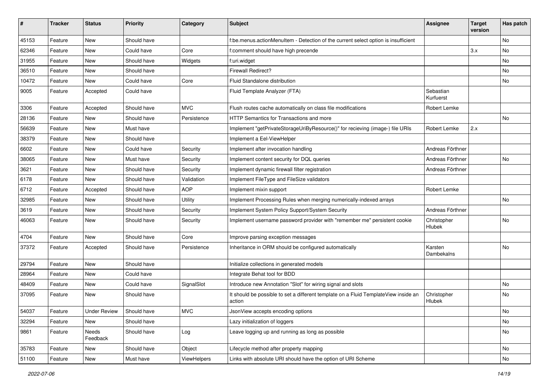| #     | <b>Tracker</b> | <b>Status</b>       | <b>Priority</b> | Category    | <b>Subject</b>                                                                                | <b>Assignee</b>        | <b>Target</b><br>version | Has patch |
|-------|----------------|---------------------|-----------------|-------------|-----------------------------------------------------------------------------------------------|------------------------|--------------------------|-----------|
| 45153 | Feature        | New                 | Should have     |             | f:be.menus.actionMenuItem - Detection of the current select option is insufficient            |                        |                          | <b>No</b> |
| 62346 | Feature        | New                 | Could have      | Core        | f:comment should have high precende                                                           |                        | 3.x                      | No        |
| 31955 | Feature        | New                 | Should have     | Widgets     | f:uri.widget                                                                                  |                        |                          | No        |
| 36510 | Feature        | New                 | Should have     |             | Firewall Redirect?                                                                            |                        |                          | <b>No</b> |
| 10472 | Feature        | New                 | Could have      | Core        | Fluid Standalone distribution                                                                 |                        |                          | No        |
| 9005  | Feature        | Accepted            | Could have      |             | Fluid Template Analyzer (FTA)                                                                 | Sebastian<br>Kurfuerst |                          |           |
| 3306  | Feature        | Accepted            | Should have     | <b>MVC</b>  | Flush routes cache automatically on class file modifications                                  | Robert Lemke           |                          |           |
| 28136 | Feature        | New                 | Should have     | Persistence | HTTP Semantics for Transactions and more                                                      |                        |                          | No        |
| 56639 | Feature        | New                 | Must have       |             | Implement "getPrivateStorageUriByResource()" for recieving (image-) file URIs                 | Robert Lemke           | 2.x                      |           |
| 38379 | Feature        | New                 | Should have     |             | Implement a Eel-ViewHelper                                                                    |                        |                          |           |
| 6602  | Feature        | New                 | Could have      | Security    | Implement after invocation handling                                                           | Andreas Förthner       |                          |           |
| 38065 | Feature        | New                 | Must have       | Security    | Implement content security for DQL queries                                                    | Andreas Förthner       |                          | No        |
| 3621  | Feature        | <b>New</b>          | Should have     | Security    | Implement dynamic firewall filter registration                                                | Andreas Förthner       |                          |           |
| 6178  | Feature        | New                 | Should have     | Validation  | Implement FileType and FileSize validators                                                    |                        |                          |           |
| 6712  | Feature        | Accepted            | Should have     | <b>AOP</b>  | Implement mixin support                                                                       | Robert Lemke           |                          |           |
| 32985 | Feature        | New                 | Should have     | Utility     | Implement Processing Rules when merging numerically-indexed arrays                            |                        |                          | <b>No</b> |
| 3619  | Feature        | New                 | Should have     | Security    | Implement System Policy Support/System Security                                               | Andreas Förthner       |                          |           |
| 46063 | Feature        | New                 | Should have     | Security    | Implement username password provider with "remember me" persistent cookie                     | Christopher<br>Hlubek  |                          | No        |
| 4704  | Feature        | New                 | Should have     | Core        | Improve parsing exception messages                                                            |                        |                          |           |
| 37372 | Feature        | Accepted            | Should have     | Persistence | Inheritance in ORM should be configured automatically                                         | Karsten<br>Dambekalns  |                          | No        |
| 29794 | Feature        | New                 | Should have     |             | Initialize collections in generated models                                                    |                        |                          |           |
| 28964 | Feature        | New                 | Could have      |             | Integrate Behat tool for BDD                                                                  |                        |                          |           |
| 48409 | Feature        | New                 | Could have      | SignalSlot  | Introduce new Annotation "Slot" for wiring signal and slots                                   |                        |                          | No        |
| 37095 | Feature        | New                 | Should have     |             | It should be possible to set a different template on a Fluid TemplateView inside an<br>action | Christopher<br>Hlubek  |                          | <b>No</b> |
| 54037 | Feature        | <b>Under Review</b> | Should have     | <b>MVC</b>  | JsonView accepts encoding options                                                             |                        |                          | No.       |
| 32294 | Feature        | New                 | Should have     |             | Lazy initialization of loggers                                                                |                        |                          | No        |
| 9861  | Feature        | Needs<br>Feedback   | Should have     | Log         | Leave logging up and running as long as possible                                              |                        |                          | No        |
| 35783 | Feature        | New                 | Should have     | Object      | Lifecycle method after property mapping                                                       |                        |                          | No        |
| 51100 | Feature        | New                 | Must have       | ViewHelpers | Links with absolute URI should have the option of URI Scheme                                  |                        |                          | No        |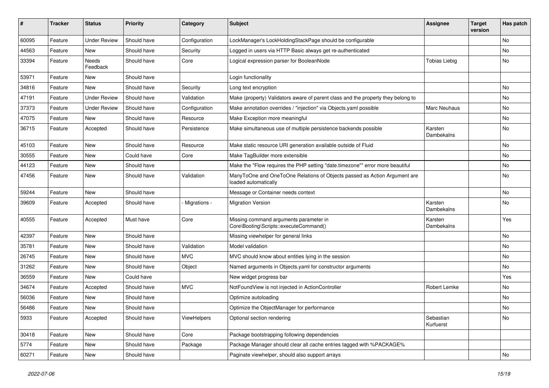| #     | <b>Tracker</b> | <b>Status</b>       | <b>Priority</b> | Category      | <b>Subject</b>                                                                                    | <b>Assignee</b>        | <b>Target</b><br>version | Has patch |
|-------|----------------|---------------------|-----------------|---------------|---------------------------------------------------------------------------------------------------|------------------------|--------------------------|-----------|
| 60095 | Feature        | <b>Under Review</b> | Should have     | Configuration | LockManager's LockHoldingStackPage should be configurable                                         |                        |                          | <b>No</b> |
| 44563 | Feature        | New                 | Should have     | Security      | Logged in users via HTTP Basic always get re-authenticated                                        |                        |                          | No        |
| 33394 | Feature        | Needs<br>Feedback   | Should have     | Core          | Logical expression parser for BooleanNode                                                         | <b>Tobias Liebig</b>   |                          | No        |
| 53971 | Feature        | New                 | Should have     |               | Login functionality                                                                               |                        |                          |           |
| 34816 | Feature        | New                 | Should have     | Security      | Long text encryption                                                                              |                        |                          | <b>No</b> |
| 47191 | Feature        | <b>Under Review</b> | Should have     | Validation    | Make (property) Validators aware of parent class and the property they belong to                  |                        |                          | No        |
| 37373 | Feature        | <b>Under Review</b> | Should have     | Configuration | Make annotation overrides / "injection" via Objects.yaml possible                                 | Marc Neuhaus           |                          | No        |
| 47075 | Feature        | New                 | Should have     | Resource      | Make Exception more meaningful                                                                    |                        |                          | No        |
| 36715 | Feature        | Accepted            | Should have     | Persistence   | Make simultaneous use of multiple persistence backends possible                                   | Karsten<br>Dambekalns  |                          | No        |
| 45103 | Feature        | <b>New</b>          | Should have     | Resource      | Make static resource URI generation available outside of Fluid                                    |                        |                          | <b>No</b> |
| 30555 | Feature        | New                 | Could have      | Core          | Make TagBuilder more extensible                                                                   |                        |                          | No        |
| 44123 | Feature        | New                 | Should have     |               | Make the "Flow requires the PHP setting "date.timezone"" error more beautiful                     |                        |                          | <b>No</b> |
| 47456 | Feature        | New                 | Should have     | Validation    | ManyToOne and OneToOne Relations of Objects passed as Action Argument are<br>loaded automatically |                        |                          | No        |
| 59244 | Feature        | New                 | Should have     |               | Message or Container needs context                                                                |                        |                          | No        |
| 39609 | Feature        | Accepted            | Should have     | Migrations -  | <b>Migration Version</b>                                                                          | Karsten<br>Dambekalns  |                          | <b>No</b> |
| 40555 | Feature        | Accepted            | Must have       | Core          | Missing command arguments parameter in<br>Core\Booting\Scripts::executeCommand()                  | Karsten<br>Dambekalns  |                          | Yes       |
| 42397 | Feature        | New                 | Should have     |               | Missing viewhelper for general links                                                              |                        |                          | No        |
| 35781 | Feature        | New                 | Should have     | Validation    | Model validation                                                                                  |                        |                          | No        |
| 26745 | Feature        | New                 | Should have     | <b>MVC</b>    | MVC should know about entities lying in the session                                               |                        |                          | <b>No</b> |
| 31262 | Feature        | New                 | Should have     | Object        | Named arguments in Objects.yaml for constructor arguments                                         |                        |                          | No        |
| 36559 | Feature        | New                 | Could have      |               | New widget progress bar                                                                           |                        |                          | Yes       |
| 34674 | Feature        | Accepted            | Should have     | <b>MVC</b>    | NotFoundView is not injected in ActionController                                                  | Robert Lemke           |                          | No        |
| 56036 | Feature        | New                 | Should have     |               | Optimize autoloading                                                                              |                        |                          | No        |
| 56486 | Feature        | New                 | Should have     |               | Optimize the ObjectManager for performance                                                        |                        |                          | <b>No</b> |
| 5933  | Feature        | Accepted            | Should have     | ViewHelpers   | Optional section rendering                                                                        | Sebastian<br>Kurfuerst |                          | No        |
| 30418 | Feature        | New                 | Should have     | Core          | Package bootstrapping following dependencies                                                      |                        |                          |           |
| 5774  | Feature        | New                 | Should have     | Package       | Package Manager should clear all cache entries tagged with %PACKAGE%                              |                        |                          |           |
| 60271 | Feature        | New                 | Should have     |               | Paginate viewhelper, should also support arrays                                                   |                        |                          | No        |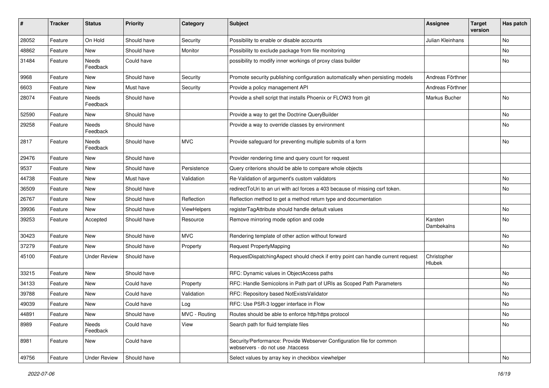| $\vert$ # | <b>Tracker</b> | <b>Status</b>       | <b>Priority</b> | Category      | <b>Subject</b>                                                                                             | Assignee              | <b>Target</b><br>version | Has patch |
|-----------|----------------|---------------------|-----------------|---------------|------------------------------------------------------------------------------------------------------------|-----------------------|--------------------------|-----------|
| 28052     | Feature        | On Hold             | Should have     | Security      | Possibility to enable or disable accounts                                                                  | Julian Kleinhans      |                          | No.       |
| 48862     | Feature        | New                 | Should have     | Monitor       | Possibility to exclude package from file monitoring                                                        |                       |                          | No        |
| 31484     | Feature        | Needs<br>Feedback   | Could have      |               | possibility to modify inner workings of proxy class builder                                                |                       |                          | No        |
| 9968      | Feature        | New                 | Should have     | Security      | Promote security publishing configuration automatically when persisting models                             | Andreas Förthner      |                          |           |
| 6603      | Feature        | New                 | Must have       | Security      | Provide a policy management API                                                                            | Andreas Förthner      |                          |           |
| 28074     | Feature        | Needs<br>Feedback   | Should have     |               | Provide a shell script that installs Phoenix or FLOW3 from git                                             | Markus Bucher         |                          | No        |
| 52590     | Feature        | <b>New</b>          | Should have     |               | Provide a way to get the Doctrine QueryBuilder                                                             |                       |                          | No        |
| 29258     | Feature        | Needs<br>Feedback   | Should have     |               | Provide a way to override classes by environment                                                           |                       |                          | No        |
| 2817      | Feature        | Needs<br>Feedback   | Should have     | <b>MVC</b>    | Provide safeguard for preventing multiple submits of a form                                                |                       |                          | No        |
| 29476     | Feature        | New                 | Should have     |               | Provider rendering time and query count for request                                                        |                       |                          |           |
| 9537      | Feature        | <b>New</b>          | Should have     | Persistence   | Query criterions should be able to compare whole objects                                                   |                       |                          |           |
| 44738     | Feature        | New                 | Must have       | Validation    | Re-Validation of argument's custom validators                                                              |                       |                          | No        |
| 36509     | Feature        | New                 | Should have     |               | redirectToUri to an uri with acl forces a 403 because of missing csrf token.                               |                       |                          | No        |
| 26767     | Feature        | New                 | Should have     | Reflection    | Reflection method to get a method return type and documentation                                            |                       |                          |           |
| 39936     | Feature        | New                 | Should have     | ViewHelpers   | registerTagAttribute should handle default values                                                          |                       |                          | No        |
| 39253     | Feature        | Accepted            | Should have     | Resource      | Remove mirroring mode option and code                                                                      | Karsten<br>Dambekalns |                          | No        |
| 30423     | Feature        | New                 | Should have     | <b>MVC</b>    | Rendering template of other action without forward                                                         |                       |                          | No        |
| 37279     | Feature        | New                 | Should have     | Property      | Request PropertyMapping                                                                                    |                       |                          | No        |
| 45100     | Feature        | <b>Under Review</b> | Should have     |               | RequestDispatchingAspect should check if entry point can handle current request                            | Christopher<br>Hlubek |                          |           |
| 33215     | Feature        | New                 | Should have     |               | RFC: Dynamic values in ObjectAccess paths                                                                  |                       |                          | No        |
| 34133     | Feature        | New                 | Could have      | Property      | RFC: Handle Semicolons in Path part of URIs as Scoped Path Parameters                                      |                       |                          | No        |
| 39788     | Feature        | <b>New</b>          | Could have      | Validation    | RFC: Repository based NotExistsValidator                                                                   |                       |                          | No        |
| 49039     | Feature        | New                 | Could have      | Log           | RFC: Use PSR-3 logger interface in Flow                                                                    |                       |                          | No        |
| 44891     | Feature        | New                 | Should have     | MVC - Routing | Routes should be able to enforce http/https protocol                                                       |                       |                          | No        |
| 8989      | Feature        | Needs<br>Feedback   | Could have      | View          | Search path for fluid template files                                                                       |                       |                          | No        |
| 8981      | Feature        | New                 | Could have      |               | Security/Performance: Provide Webserver Configuration file for common<br>webservers - do not use .htaccess |                       |                          |           |
| 49756     | Feature        | <b>Under Review</b> | Should have     |               | Select values by array key in checkbox viewhelper                                                          |                       |                          | No        |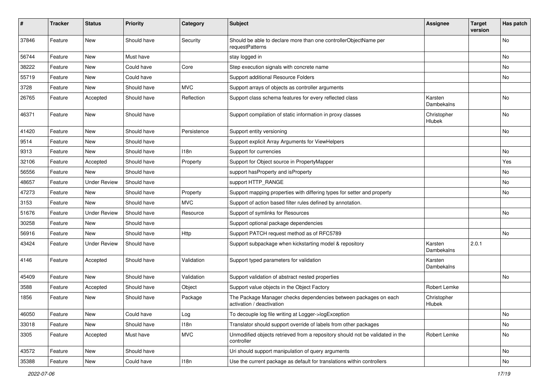| ∦     | <b>Tracker</b> | <b>Status</b>       | <b>Priority</b> | Category    | <b>Subject</b>                                                                                | <b>Assignee</b>              | <b>Target</b><br>version | Has patch |
|-------|----------------|---------------------|-----------------|-------------|-----------------------------------------------------------------------------------------------|------------------------------|--------------------------|-----------|
| 37846 | Feature        | New                 | Should have     | Security    | Should be able to declare more than one controllerObjectName per<br>requestPatterns           |                              |                          | No        |
| 56744 | Feature        | New                 | Must have       |             | stay logged in                                                                                |                              |                          | No        |
| 38222 | Feature        | <b>New</b>          | Could have      | Core        | Step execution signals with concrete name                                                     |                              |                          | No        |
| 55719 | Feature        | New                 | Could have      |             | Support additional Resource Folders                                                           |                              |                          | No        |
| 3728  | Feature        | New                 | Should have     | <b>MVC</b>  | Support arrays of objects as controller arguments                                             |                              |                          |           |
| 26765 | Feature        | Accepted            | Should have     | Reflection  | Support class schema features for every reflected class                                       | Karsten<br>Dambekalns        |                          | No        |
| 46371 | Feature        | New                 | Should have     |             | Support compilation of static information in proxy classes                                    | Christopher<br>Hlubek        |                          | <b>No</b> |
| 41420 | Feature        | New                 | Should have     | Persistence | Support entity versioning                                                                     |                              |                          | No        |
| 9514  | Feature        | <b>New</b>          | Should have     |             | Support explicit Array Arguments for ViewHelpers                                              |                              |                          |           |
| 9313  | Feature        | New                 | Should have     | 118n        | Support for currencies                                                                        |                              |                          | <b>No</b> |
| 32106 | Feature        | Accepted            | Should have     | Property    | Support for Object source in PropertyMapper                                                   |                              |                          | Yes       |
| 56556 | Feature        | New                 | Should have     |             | support has Property and is Property                                                          |                              |                          | No        |
| 48657 | Feature        | <b>Under Review</b> | Should have     |             | support HTTP_RANGE                                                                            |                              |                          | No        |
| 47273 | Feature        | New                 | Should have     | Property    | Support mapping properties with differing types for setter and property                       |                              |                          | No        |
| 3153  | Feature        | New                 | Should have     | <b>MVC</b>  | Support of action based filter rules defined by annotation.                                   |                              |                          |           |
| 51676 | Feature        | <b>Under Review</b> | Should have     | Resource    | Support of symlinks for Resources                                                             |                              |                          | No        |
| 30258 | Feature        | New                 | Should have     |             | Support optional package dependencies                                                         |                              |                          |           |
| 56916 | Feature        | New                 | Should have     | Http        | Support PATCH request method as of RFC5789                                                    |                              |                          | No        |
| 43424 | Feature        | <b>Under Review</b> | Should have     |             | Support subpackage when kickstarting model & repository                                       | Karsten<br>Dambekalns        | 2.0.1                    |           |
| 4146  | Feature        | Accepted            | Should have     | Validation  | Support typed parameters for validation                                                       | Karsten<br>Dambekalns        |                          |           |
| 45409 | Feature        | New                 | Should have     | Validation  | Support validation of abstract nested properties                                              |                              |                          | <b>No</b> |
| 3588  | Feature        | Accepted            | Should have     | Object      | Support value objects in the Object Factory                                                   | Robert Lemke                 |                          |           |
| 1856  | Feature        | New                 | Should have     | Package     | The Package Manager checks dependencies between packages on each<br>activation / deactivation | Christopher<br><b>Hlubek</b> |                          |           |
| 46050 | Feature        | New                 | Could have      | Log         | To decouple log file writing at Logger->logException                                          |                              |                          | No        |
| 33018 | Feature        | New                 | Should have     | 118n        | Translator should support override of labels from other packages                              |                              |                          | No        |
| 3305  | Feature        | Accepted            | Must have       | <b>MVC</b>  | Unmodified objects retrieved from a repository should not be validated in the<br>controller   | Robert Lemke                 |                          | No        |
| 43572 | Feature        | New                 | Should have     |             | Uri should support manipulation of query arguments                                            |                              |                          | No        |
| 35388 | Feature        | New                 | Could have      | 118n        | Use the current package as default for translations within controllers                        |                              |                          | No        |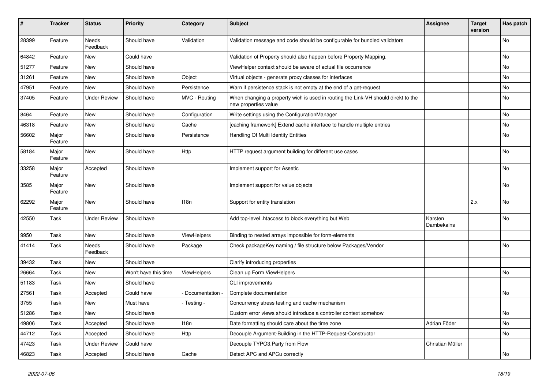| #     | <b>Tracker</b>   | <b>Status</b>            | <b>Priority</b>      | Category      | <b>Subject</b>                                                                                            | <b>Assignee</b>       | <b>Target</b><br>version | Has patch |
|-------|------------------|--------------------------|----------------------|---------------|-----------------------------------------------------------------------------------------------------------|-----------------------|--------------------------|-----------|
| 28399 | Feature          | <b>Needs</b><br>Feedback | Should have          | Validation    | Validation message and code should be configurable for bundled validators                                 |                       |                          | <b>No</b> |
| 64842 | Feature          | New                      | Could have           |               | Validation of Property should also happen before Property Mapping.                                        |                       |                          | No        |
| 51277 | Feature          | New                      | Should have          |               | ViewHelper context should be aware of actual file occurrence                                              |                       |                          | No        |
| 31261 | Feature          | <b>New</b>               | Should have          | Object        | Virtual objects - generate proxy classes for interfaces                                                   |                       |                          | <b>No</b> |
| 47951 | Feature          | New                      | Should have          | Persistence   | Warn if persistence stack is not empty at the end of a get-request                                        |                       |                          | No        |
| 37405 | Feature          | <b>Under Review</b>      | Should have          | MVC - Routing | When changing a property wich is used in routing the Link-VH should direkt to the<br>new properties value |                       |                          | No        |
| 8464  | Feature          | New                      | Should have          | Configuration | Write settings using the ConfigurationManager                                                             |                       |                          | <b>No</b> |
| 46318 | Feature          | New                      | Should have          | Cache         | [caching framework] Extend cache interface to handle multiple entries                                     |                       |                          | No        |
| 56602 | Major<br>Feature | New                      | Should have          | Persistence   | Handling Of Multi Identity Entities                                                                       |                       |                          | No        |
| 58184 | Major<br>Feature | New                      | Should have          | <b>Http</b>   | HTTP request argument building for different use cases                                                    |                       |                          | No        |
| 33258 | Major<br>Feature | Accepted                 | Should have          |               | Implement support for Assetic                                                                             |                       |                          | <b>No</b> |
| 3585  | Major<br>Feature | New                      | Should have          |               | Implement support for value objects                                                                       |                       |                          | No        |
| 62292 | Major<br>Feature | New                      | Should have          | 118n          | Support for entity translation                                                                            |                       | 2.x                      | No        |
| 42550 | Task             | <b>Under Review</b>      | Should have          |               | Add top-level .htaccess to block everything but Web                                                       | Karsten<br>Dambekalns |                          | <b>No</b> |
| 9950  | Task             | New                      | Should have          | ViewHelpers   | Binding to nested arrays impossible for form-elements                                                     |                       |                          |           |
| 41414 | Task             | Needs<br>Feedback        | Should have          | Package       | Check packageKey naming / file structure below Packages/Vendor                                            |                       |                          | <b>No</b> |
| 39432 | Task             | New                      | Should have          |               | Clarify introducing properties                                                                            |                       |                          |           |
| 26664 | Task             | <b>New</b>               | Won't have this time | ViewHelpers   | Clean up Form ViewHelpers                                                                                 |                       |                          | <b>No</b> |
| 51183 | Task             | <b>New</b>               | Should have          |               | CLI improvements                                                                                          |                       |                          |           |
| 27561 | Task             | Accepted                 | Could have           | Documentation | Complete documentation                                                                                    |                       |                          | <b>No</b> |
| 3755  | Task             | <b>New</b>               | Must have            | - Testing -   | Concurrency stress testing and cache mechanism                                                            |                       |                          |           |
| 51286 | Task             | <b>New</b>               | Should have          |               | Custom error views should introduce a controller context somehow                                          |                       |                          | <b>No</b> |
| 49806 | Task             | Accepted                 | Should have          | 118n          | Date formatting should care about the time zone                                                           | Adrian Föder          |                          | <b>No</b> |
| 44712 | Task             | Accepted                 | Should have          | <b>Http</b>   | Decouple Argument-Building in the HTTP-Request-Constructor                                                |                       |                          | <b>No</b> |
| 47423 | Task             | <b>Under Review</b>      | Could have           |               | Decouple TYPO3.Party from Flow                                                                            | Christian Müller      |                          |           |
| 46823 | Task             | Accepted                 | Should have          | Cache         | Detect APC and APCu correctly                                                                             |                       |                          | <b>No</b> |